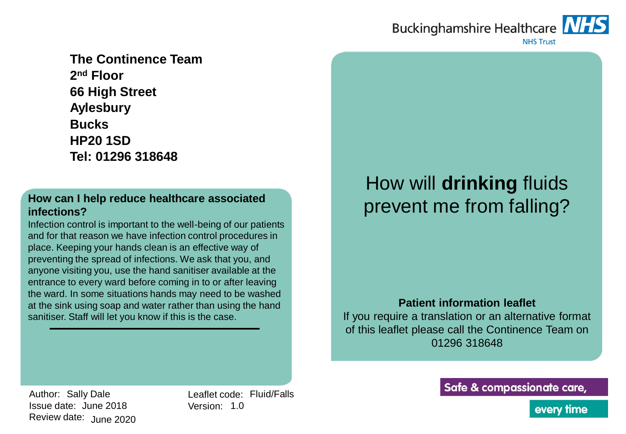# Buckinghamshire Healthcare NHS



**NHS Trust** 

**The Continence Team 2 nd Floor 66 High Street Aylesbury Bucks HP20 1SD Tel: 01296 318648**

#### **How can I help reduce healthcare associated infections?**

Infection control is important to the well-being of our patients and for that reason we have infection control procedures in place. Keeping your hands clean is an effective way of preventing the spread of infections. We ask that you, and anyone visiting you, use the hand sanitiser available at the entrance to every ward before coming in to or after leaving the ward. In some situations hands may need to be washed at the sink using soap and water rather than using the hand sanitiser. Staff will let you know if this is the case.

# How will **drinking** fluids prevent me from falling?

#### **Patient information leaflet**

If you require a translation or an alternative format of this leaflet please call the Continence Team on 01296 318648

Author: Sally Dale Issue date: June 2018 Review date: June 2020 Leaflet code: Fluid/Falls Version: 1.0

Safe & compassionate care,